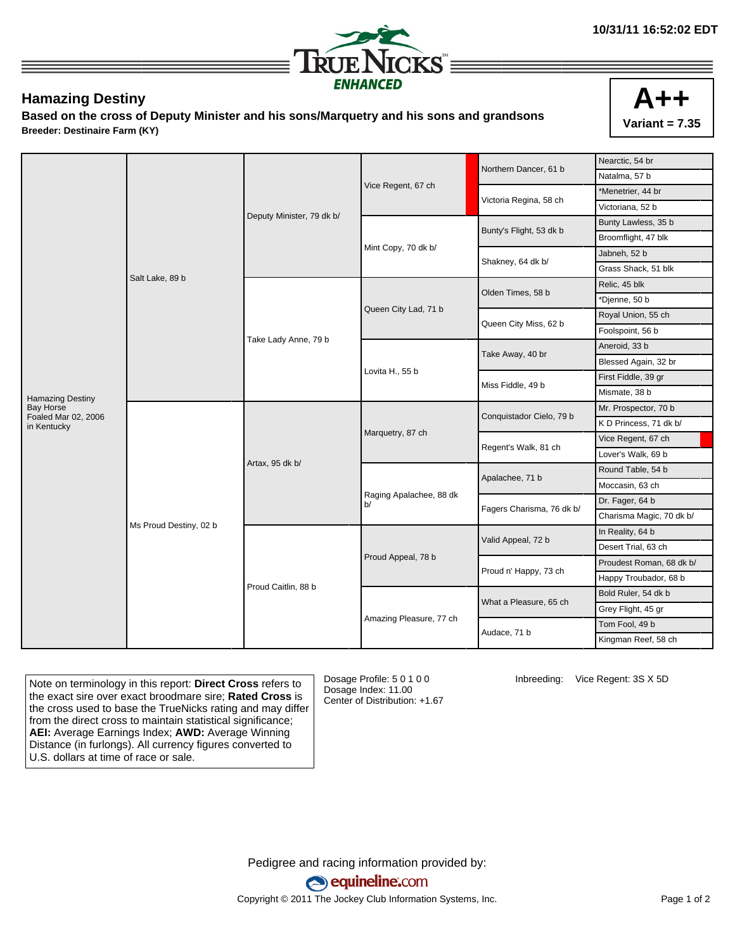

## **Hamazing Destiny**

**Based on the cross of Deputy Minister and his sons/Marquetry and his sons and grandsons Breeder: Destinaire Farm (KY)**



| Northern Dancer, 61 b                                      | Nearctic, 54 br          |
|------------------------------------------------------------|--------------------------|
|                                                            | Natalma, 57 b            |
| Vice Regent, 67 ch<br>Victoria Regina, 58 ch               | *Menetrier, 44 br        |
|                                                            | Victoriana, 52 b         |
| Deputy Minister, 79 dk b/<br>Bunty's Flight, 53 dk b       | Bunty Lawless, 35 b      |
|                                                            | Broomflight, 47 blk      |
| Mint Copy, 70 dk b/                                        | Jabneh, 52 b             |
| Shakney, 64 dk b/                                          | Grass Shack, 51 blk      |
| Salt Lake, 89 b                                            | Relic, 45 blk            |
| Olden Times, 58 b                                          | *Djenne, 50 b            |
| Queen City Lad, 71 b                                       | Royal Union, 55 ch       |
| Queen City Miss, 62 b                                      | Foolspoint, 56 b         |
| Take Lady Anne, 79 b                                       | Aneroid, 33 b            |
| Take Away, 40 br                                           | Blessed Again, 32 br     |
| Lovita H., 55 b                                            | First Fiddle, 39 gr      |
| Miss Fiddle, 49 b<br><b>Hamazing Destiny</b>               | Mismate, 38 b            |
| <b>Bay Horse</b><br>Conquistador Cielo, 79 b               | Mr. Prospector, 70 b     |
| Foaled Mar 02, 2006<br>in Kentucky                         | K D Princess, 71 dk b/   |
| Marquetry, 87 ch<br>Regent's Walk, 81 ch                   | Vice Regent, 67 ch       |
|                                                            | Lover's Walk, 69 b       |
| Artax, 95 dk b/<br>Apalachee, 71 b                         | Round Table, 54 b        |
|                                                            | Moccasin, 63 ch          |
| Raging Apalachee, 88 dk<br>b/<br>Fagers Charisma, 76 dk b/ | Dr. Fager, 64 b          |
|                                                            | Charisma Magic, 70 dk b/ |
| Ms Proud Destiny, 02 b<br>Valid Appeal, 72 b               | In Reality, 64 b         |
|                                                            | Desert Trial, 63 ch      |
| Proud Appeal, 78 b                                         | Proudest Roman, 68 dk b/ |
| Proud n' Happy, 73 ch                                      | Happy Troubador, 68 b    |
| Proud Caitlin, 88 b<br>What a Pleasure, 65 ch              | Bold Ruler, 54 dk b      |
|                                                            | Grey Flight, 45 gr       |
| Amazing Pleasure, 77 ch                                    | Tom Fool, 49 b           |
| Audace, 71 b                                               |                          |

Note on terminology in this report: **Direct Cross** refers to the exact sire over exact broodmare sire; **Rated Cross** is the cross used to base the TrueNicks rating and may differ from the direct cross to maintain statistical significance; **AEI:** Average Earnings Index; **AWD:** Average Winning Distance (in furlongs). All currency figures converted to U.S. dollars at time of race or sale.

Dosage Profile: 5 0 1 0 0 Dosage Index: 11.00 Center of Distribution: +1.67 Inbreeding: Vice Regent: 3S X 5D

Pedigree and racing information provided by: equineline.com Copyright © 2011 The Jockey Club Information Systems, Inc. example 2012 Page 1 of 2